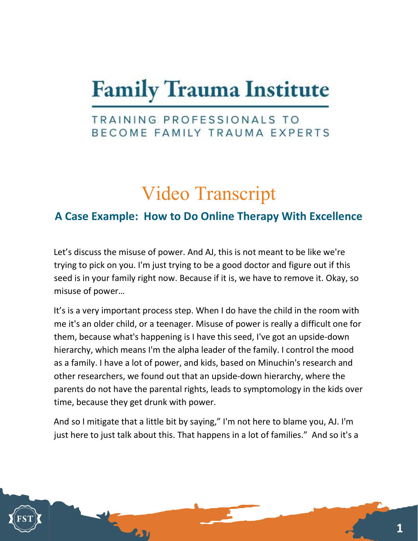# **Family Trauma Institute**

### TRAINING PROFESSIONALS TO BECOME FAMILY TRAUMA EXPERTS

## Video Transcript

### A Case Example: How to Do Online Therapy With Excellence

Let's discuss the misuse of power. And AJ, this is not meant to be like we're trying to pick on you. I'm just trying to be a good doctor and figure out if this seed is in your family right now. Because if it is, we have to remove it. Okay, so misuse of power…

It's is a very important process step. When I do have the child in the room with me it's an older child, or a teenager. Misuse of power is really a difficult one for them, because what's happening is I have this seed, I've got an upside-down hierarchy, which means I'm the alpha leader of the family. I control the mood as a family. I have a lot of power, and kids, based on Minuchin's research and other researchers, we found out that an upside-down hierarchy, where the parents do not have the parental rights, leads to symptomology in the kids over time, because they get drunk with power.

And so I mitigate that a little bit by saying," I'm not here to blame you, AJ. I'm just here to just talk about this. That happens in a lot of families." And so it's a